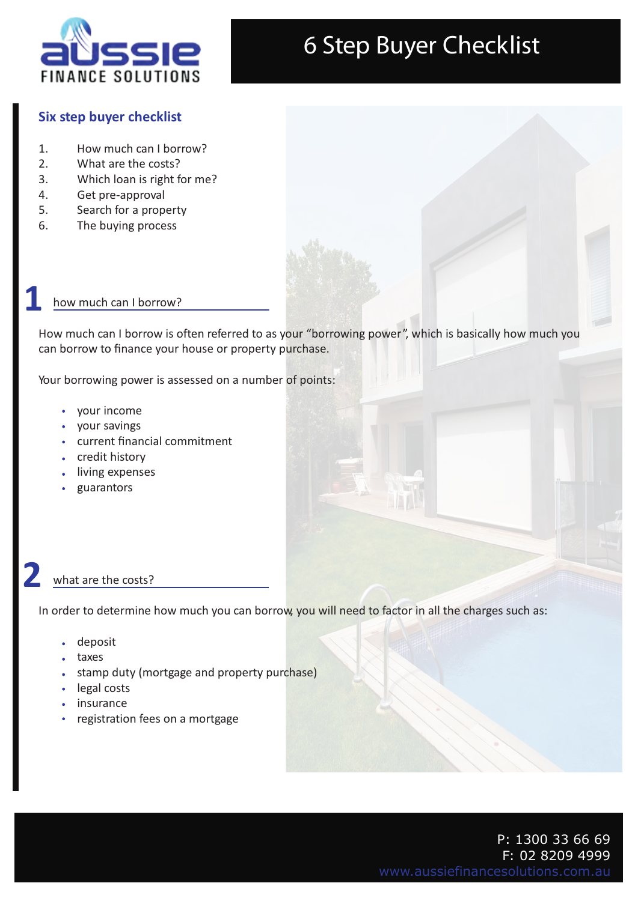

#### **Six step buyer checklist**

- 1. How much can I borrow?
- 2. What are the costs?
- 3. Which loan is right for me?
- 4. Get pre-approval
- 5. Search for a property
- 6. The buying process

#### how much can I borrow?

**1**

How much can I borrow is often referred to as your "borrowing power", which is basically how much you can borrow to finance your house or property purchase.

Your borrowing power is assessed on a number of points:

- your income
- your savings
- current financial commitment
- credit history
- living expenses
- guarantors

### what are the costs? **2**

In order to determine how much you can borrow, you will need to factor in all the charges such as:

- deposit
- taxes
- stamp duty (mortgage and property purchase)
- legal costs
- insurance
- registration fees on a mortgage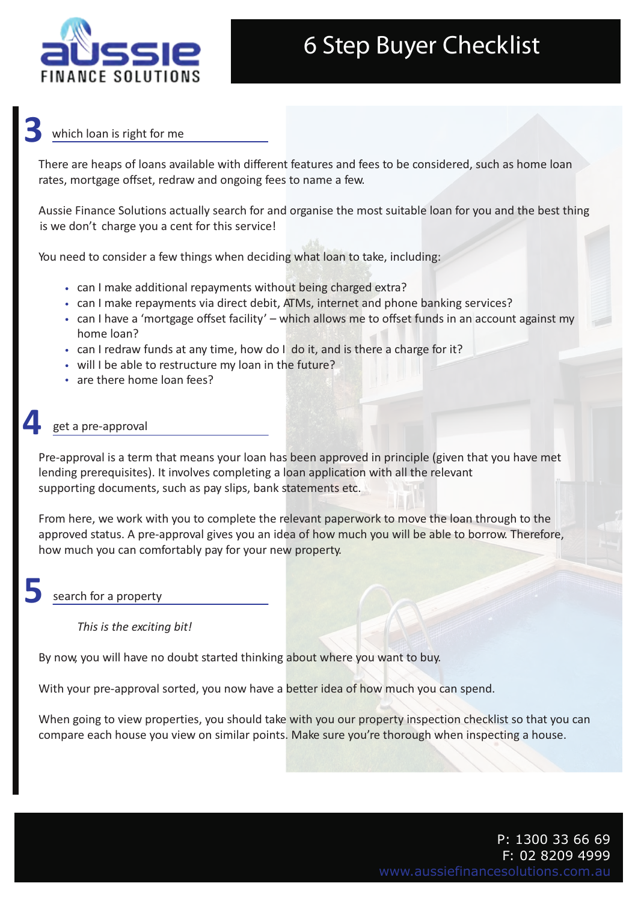

### which loan is right for me **3**

There are heaps of loans available with different features and fees to be considered, such as home loan rates, mortgage offset, redraw and ongoing fees to name a few.

Aussie Finance Solutions actually search for and organise the most suitable loan for you and the best thing is we don't charge you a cent for this service!

You need to consider a few things when deciding what loan to take, including:

- can I make additional repayments without being charged extra?
- can I make repayments via direct debit, ATMs, internet and phone banking services?
- can I have a 'mortgage offset facility' which allows me to offset funds in an account against my home loan?
- can I redraw funds at any time, how do I do it, and is there a charge for it?
- will I be able to restructure my loan in the future?
- are there home loan fees?

### get a pre-approval **4**

Pre-approval is a term that means your loan has been approved in principle (given that you have met lending prerequisites). It involves completing a loan application with all the relevant supporting documents, such as pay slips, bank statements etc.

From here, we work with you to complete the relevant paperwork to move the loan through to the approved status. A pre-approval gives you an idea of how much you will be able to borrow. Therefore, how much you can comfortably pay for your new property.

### search for a property **5**

 *This is the exciting bit!*

By now, you will have no doubt started thinking about where you want to buy.

With your pre-approval sorted, you now have a better idea of how much you can spend.

When going to view properties, you should take with you our property inspection checklist so that you can compare each house you view on similar points. Make sure you're thorough when inspecting a house.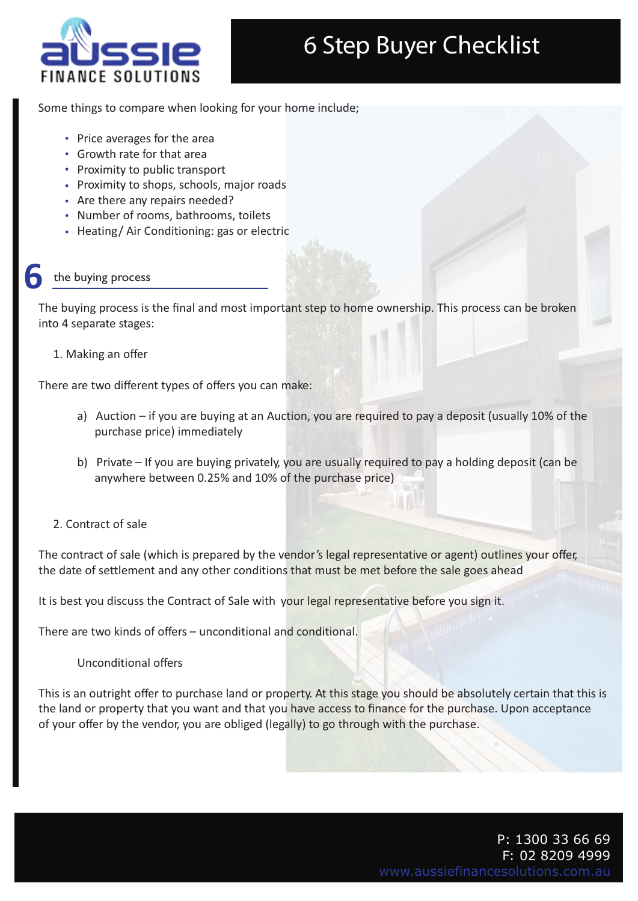

Some things to compare when looking for your home include;

- Price averages for the area
- Growth rate for that area
- Proximity to public transport
- Proximity to shops, schools, major roads
- Are there any repairs needed?
- Number of rooms, bathrooms, toilets
- Heating/Air Conditioning: gas or electric

### the buying process **6**

The buying process is the final and most important step to home ownership. This process can be broken into 4 separate stages:

1. Making an offer

There are two different types of offers you can make:

- a) Auction if you are buying at an Auction, you are required to pay a deposit (usually 10% of the purchase price) immediately
- b) Private If you are buying privately, you are usually required to pay a holding deposit (can be anywhere between 0.25% and 10% of the purchase price)
- 2. Contract of sale

The contract of sale (which is prepared by the vendor's legal representative or agent) outlines your offer, the date of settlement and any other conditions that must be met before the sale goes ahead

It is best you discuss the Contract of Sale with your legal representative before you sign it.

There are two kinds of offers – unconditional and conditional.

Unconditional offers

This is an outright offer to purchase land or property. At this stage you should be absolutely certain that this is the land or property that you want and that you have access to finance for the purchase. Upon acceptance of your offer by the vendor, you are obliged (legally) to go through with the purchase.